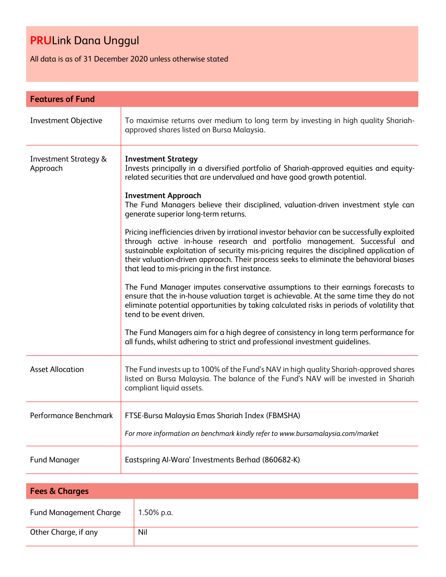All data is as of 31 December 2020 unless otherwise stated

| <b>Features of Fund</b>                      |                                                                                                                                                                                                                                                                                                                                                                                                                                                                                                                                                                                                                                                                                                                                                                                                                                                                                                                                                                                                                                                                                                                                                                                  |  |
|----------------------------------------------|----------------------------------------------------------------------------------------------------------------------------------------------------------------------------------------------------------------------------------------------------------------------------------------------------------------------------------------------------------------------------------------------------------------------------------------------------------------------------------------------------------------------------------------------------------------------------------------------------------------------------------------------------------------------------------------------------------------------------------------------------------------------------------------------------------------------------------------------------------------------------------------------------------------------------------------------------------------------------------------------------------------------------------------------------------------------------------------------------------------------------------------------------------------------------------|--|
| Investment Objective                         | To maximise returns over medium to long term by investing in high quality Shariah-<br>approved shares listed on Bursa Malaysia.                                                                                                                                                                                                                                                                                                                                                                                                                                                                                                                                                                                                                                                                                                                                                                                                                                                                                                                                                                                                                                                  |  |
| <b>Investment Strategy &amp;</b><br>Approach | <b>Investment Strategy</b><br>Invests principally in a diversified portfolio of Shariah-approved equities and equity-<br>related securities that are undervalued and have good growth potential.<br><b>Investment Approach</b><br>The Fund Managers believe their disciplined, valuation-driven investment style can<br>generate superior long-term returns.<br>Pricing inefficiencies driven by irrational investor behavior can be successfully exploited<br>through active in-house research and portfolio management. Successful and<br>sustainable exploitation of security mis-pricing requires the disciplined application of<br>their valuation-driven approach. Their process seeks to eliminate the behavioral biases<br>that lead to mis-pricing in the first instance.<br>The Fund Manager imputes conservative assumptions to their earnings forecasts to<br>ensure that the in-house valuation target is achievable. At the same time they do not<br>eliminate potential opportunities by taking calculated risks in periods of volatility that<br>tend to be event driven.<br>The Fund Managers aim for a high degree of consistency in long term performance for |  |
|                                              | all funds, whilst adhering to strict and professional investment guidelines.                                                                                                                                                                                                                                                                                                                                                                                                                                                                                                                                                                                                                                                                                                                                                                                                                                                                                                                                                                                                                                                                                                     |  |
| <b>Asset Allocation</b>                      | The Fund invests up to 100% of the Fund's NAV in high quality Shariah-approved shares<br>listed on Bursa Malaysia. The balance of the Fund's NAV will be invested in Shariah<br>compliant liquid assets.                                                                                                                                                                                                                                                                                                                                                                                                                                                                                                                                                                                                                                                                                                                                                                                                                                                                                                                                                                         |  |
| Performance Benchmark                        | FTSE-Bursa Malaysia Emas Shariah Index (FBMSHA)<br>For more information on benchmark kindly refer to www.bursamalaysia.com/market                                                                                                                                                                                                                                                                                                                                                                                                                                                                                                                                                                                                                                                                                                                                                                                                                                                                                                                                                                                                                                                |  |
| <b>Fund Manager</b>                          | Eastspring Al-Wara' Investments Berhad (860682-K)                                                                                                                                                                                                                                                                                                                                                                                                                                                                                                                                                                                                                                                                                                                                                                                                                                                                                                                                                                                                                                                                                                                                |  |

| <b>Fees &amp; Charges</b>     |            |  |
|-------------------------------|------------|--|
| <b>Fund Management Charge</b> | 1.50% p.a. |  |
| Other Charge, if any          | Nil        |  |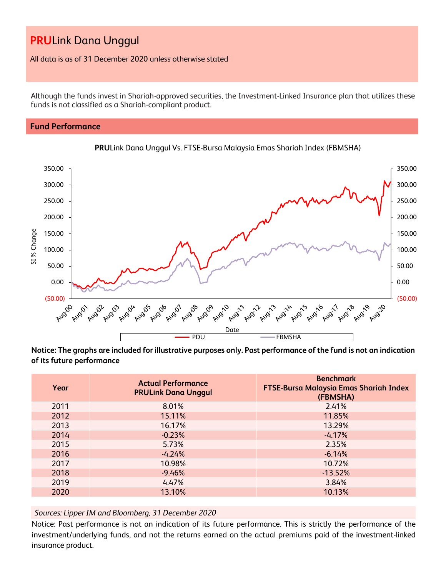All data is as of 31 December 2020 unless otherwise stated

Although the funds invest in Shariah-approved securities, the Investment-Linked Insurance plan that utilizes these funds is not classified as a Shariah-compliant product.

## **Fund Performance**





**Notice: The graphs are included for illustrative purposes only. Past performance of the fund is not an indication of its future performance**

| Year | <b>Actual Performance</b><br><b>PRULink Dana Unggul</b> | <b>Benchmark</b><br><b>FTSE-Bursa Malaysia Emas Shariah Index</b><br>(FBMSHA) |
|------|---------------------------------------------------------|-------------------------------------------------------------------------------|
| 2011 | 8.01%                                                   | 2.41%                                                                         |
| 2012 | 15.11%                                                  | 11.85%                                                                        |
| 2013 | 16.17%                                                  | 13.29%                                                                        |
| 2014 | $-0.23%$                                                | $-4.17%$                                                                      |
| 2015 | 5.73%                                                   | 2.35%                                                                         |
| 2016 | $-4.24%$                                                | $-6.14%$                                                                      |
| 2017 | 10.98%                                                  | 10.72%                                                                        |
| 2018 | $-9.46%$                                                | $-13.52%$                                                                     |
| 2019 | 4.47%                                                   | 3.84%                                                                         |
| 2020 | 13.10%                                                  | 10.13%                                                                        |

*Sources: Lipper IM and Bloomberg, 31 December 2020*

Notice: Past performance is not an indication of its future performance. This is strictly the performance of the investment/underlying funds, and not the returns earned on the actual premiums paid of the investment-linked insurance product.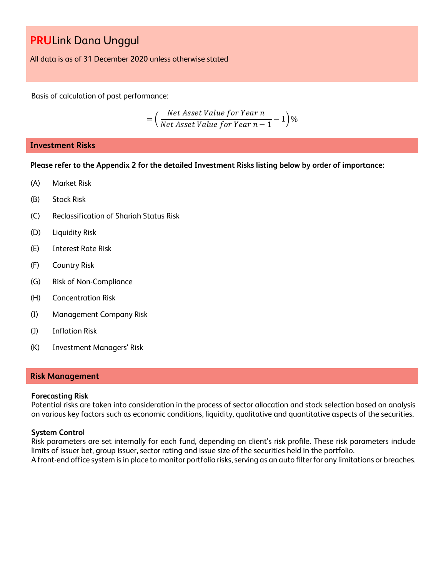All data is as of 31 December 2020 unless otherwise stated

Basis of calculation of past performance:

$$
= \left(\frac{Net\text{ Asset Value for Year }n}{Net\text{ Asset Value for Year }n-1}-1\right)\%
$$

### **Investment Risks**

**Please refer to the Appendix 2 for the detailed Investment Risks listing below by order of importance:**

- (A) Market Risk
- (B) Stock Risk
- (C) Reclassification of Shariah Status Risk
- (D) Liquidity Risk
- (E) Interest Rate Risk
- (F) Country Risk
- (G) Risk of Non-Compliance
- (H) Concentration Risk
- (I) Management Company Risk
- (J) Inflation Risk
- (K) Investment Managers' Risk

#### **Risk Management**

#### **Forecasting Risk**

Potential risks are taken into consideration in the process of sector allocation and stock selection based on analysis on various key factors such as economic conditions, liquidity, qualitative and quantitative aspects of the securities.

### **System Control**

Risk parameters are set internally for each fund, depending on client's risk profile. These risk parameters include limits of issuer bet, group issuer, sector rating and issue size of the securities held in the portfolio. A front-end office system is in place to monitor portfolio risks, serving as an auto filter for any limitations or breaches.